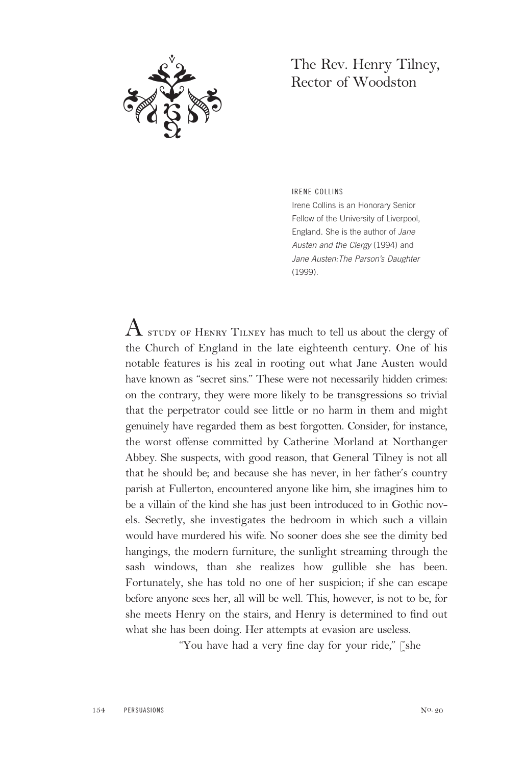

## The Rev. Henry Tilney, Rector of Woodston

IRENE COLLINS

Irene Collins is an Honorary Senior Fellow of the University of Liverpool, England. She is the author of Jane Austen and the Clergy (1994) and Jane Austen:The Parson's Daughter (1999).

 $\rm A$  study of Henry Tilney has much to tell us about the clergy of the Church of England in the late eighteenth century. One of his notable features is his zeal in rooting out what Jane Austen would have known as "secret sins." These were not necessarily hidden crimes: on the contrary, they were more likely to be transgressions so trivial that the perpetrator could see little or no harm in them and might genuinely have regarded them as best forgotten. Consider, for instance, the worst offense committed by Catherine Morland at Northanger Abbey. She suspects, with good reason, that General Tilney is not all that he should be; and because she has never, in her father's country parish at Fullerton, encountered anyone like him, she imagines him to be a villain of the kind she has just been introduced to in Gothic novels. Secretly, she investigates the bedroom in which such a villain would have murdered his wife. No sooner does she see the dimity bed hangings, the modern furniture, the sunlight streaming through the sash windows, than she realizes how gullible she has been. Fortunately, she has told no one of her suspicion; if she can escape before anyone sees her, all will be well. This, however, is not to be, for she meets Henry on the stairs, and Henry is determined to find out what she has been doing. Her attempts at evasion are useless.

"You have had a very fine day for your ride," [she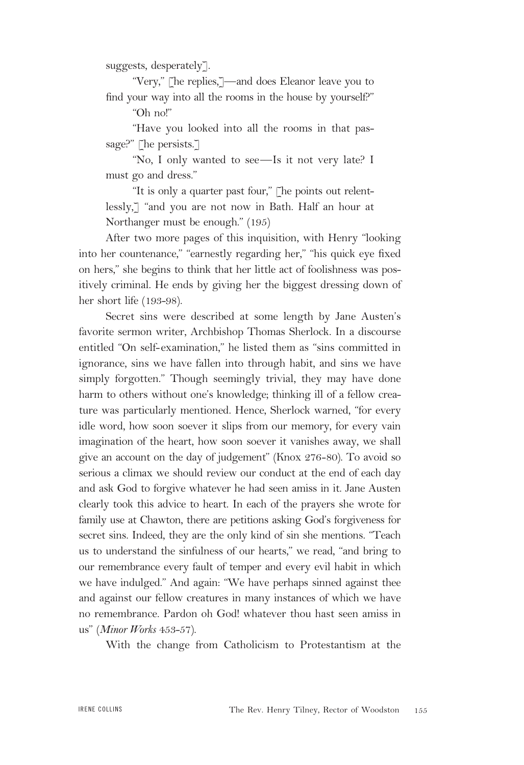suggests, desperately].

"Very," [he replies,]—and does Eleanor leave you to find your way into all the rooms in the house by yourself?"

"Oh no!"

"Have you looked into all the rooms in that passage?" [he persists.]

"No, I only wanted to see—Is it not very late? I must go and dress."

"It is only a quarter past four," [he points out relentlessly,] "and you are not now in Bath. Half an hour at Northanger must be enough." (195)

After two more pages of this inquisition, with Henry "looking into her countenance," "earnestly regarding her," "his quick eye fixed on hers," she begins to think that her little act of foolishness was positively criminal. He ends by giving her the biggest dressing down of her short life (193-98).

Secret sins were described at some length by Jane Austen's favorite sermon writer, Archbishop Thomas Sherlock. In a discourse entitled "On self-examination," he listed them as "sins committed in ignorance, sins we have fallen into through habit, and sins we have simply forgotten." Though seemingly trivial, they may have done harm to others without one's knowledge; thinking ill of a fellow creature was particularly mentioned. Hence, Sherlock warned, "for every idle word, how soon soever it slips from our memory, for every vain imagination of the heart, how soon soever it vanishes away, we shall give an account on the day of judgement" (Knox 276-80). To avoid so serious a climax we should review our conduct at the end of each day and ask God to forgive whatever he had seen amiss in it. Jane Austen clearly took this advice to heart. In each of the prayers she wrote for family use at Chawton, there are petitions asking God's forgiveness for secret sins. Indeed, they are the only kind of sin she mentions. "Teach us to understand the sinfulness of our hearts," we read, "and bring to our remembrance every fault of temper and every evil habit in which we have indulged." And again: "We have perhaps sinned against thee and against our fellow creatures in many instances of which we have no remembrance. Pardon oh God! whatever thou hast seen amiss in us" (*Minor Works* 453-57).

With the change from Catholicism to Protestantism at the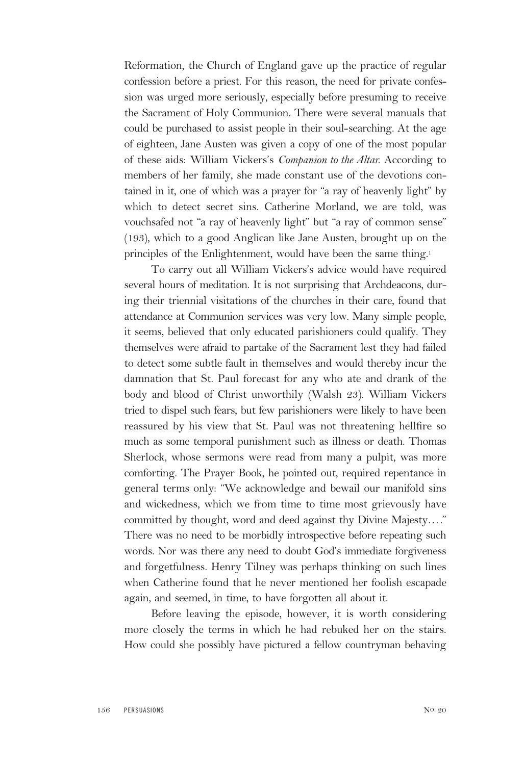Reformation, the Church of England gave up the practice of regular confession before a priest. For this reason, the need for private confession was urged more seriously, especially before presuming to receive the Sacrament of Holy Communion. There were several manuals that could be purchased to assist people in their soul-searching. At the age of eighteen, Jane Austen was given a copy of one of the most popular of these aids: William Vickers's *Companion to the Altar.* According to members of her family, she made constant use of the devotions contained in it, one of which was a prayer for "a ray of heavenly light" by which to detect secret sins. Catherine Morland, we are told, was vouchsafed not "a ray of heavenly light" but "a ray of common sense" (193), which to a good Anglican like Jane Austen, brought up on the principles of the Enlightenment, would have been the same thing.1

To carry out all William Vickers's advice would have required several hours of meditation. It is not surprising that Archdeacons, during their triennial visitations of the churches in their care, found that attendance at Communion services was very low. Many simple people, it seems, believed that only educated parishioners could qualify. They themselves were afraid to partake of the Sacrament lest they had failed to detect some subtle fault in themselves and would thereby incur the damnation that St. Paul forecast for any who ate and drank of the body and blood of Christ unworthily (Walsh 23). William Vickers tried to dispel such fears, but few parishioners were likely to have been reassured by his view that St. Paul was not threatening hellfire so much as some temporal punishment such as illness or death. Thomas Sherlock, whose sermons were read from many a pulpit, was more comforting. The Prayer Book, he pointed out, required repentance in general terms only: "We acknowledge and bewail our manifold sins and wickedness, which we from time to time most grievously have committed by thought, word and deed against thy Divine Majesty…." There was no need to be morbidly introspective before repeating such words. Nor was there any need to doubt God's immediate forgiveness and forgetfulness. Henry Tilney was perhaps thinking on such lines when Catherine found that he never mentioned her foolish escapade again, and seemed, in time, to have forgotten all about it.

Before leaving the episode, however, it is worth considering more closely the terms in which he had rebuked her on the stairs. How could she possibly have pictured a fellow countryman behaving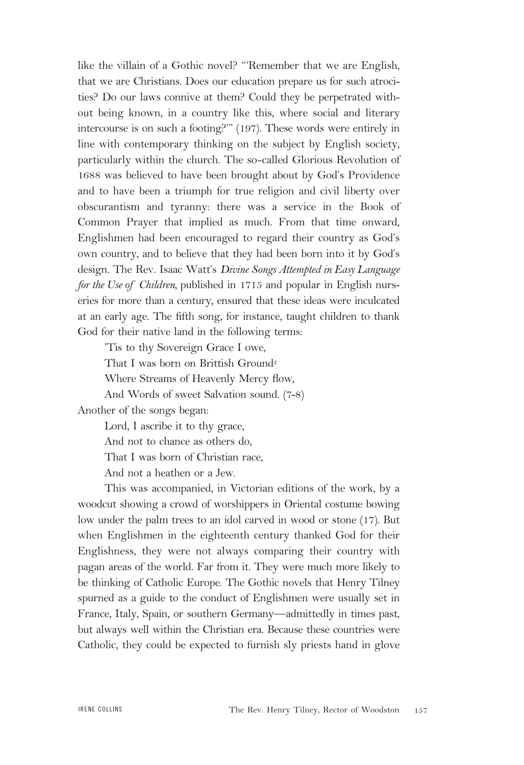like the villain of a Gothic novel? "'Remember that we are English, that we are Christians. Does our education prepare us for such atrocities? Do our laws connive at them? Could they be perpetrated without being known, in a country like this, where social and literary intercourse is on such a footing?'" (197). These words were entirely in line with contemporary thinking on the subject by English society, particularly within the church. The so-called Glorious Revolution of 1688 was believed to have been brought about by God's Providence and to have been a triumph for true religion and civil liberty over obscurantism and tyranny: there was a service in the Book of Common Prayer that implied as much. From that time onward, Englishmen had been encouraged to regard their country as God's own country, and to believe that they had been born into it by God's design. The Rev. Isaac Watt's *Divine Songs Attempted in Easy Language for the Use of Children,* published in 1715 and popular in English nurseries for more than a century, ensured that these ideas were inculcated at an early age. The fifth song, for instance, taught children to thank God for their native land in the following terms:

'Tis to thy Sovereign Grace I owe,

That I was born on Brittish Ground<sup>2</sup>

Where Streams of Heavenly Mercy flow,

And Words of sweet Salvation sound. (7-8)

Another of the songs began:

Lord, I ascribe it to thy grace,

And not to chance as others do,

That I was born of Christian race,

And not a heathen or a Jew.

This was accompanied, in Victorian editions of the work, by a woodcut showing a crowd of worshippers in Oriental costume bowing low under the palm trees to an idol carved in wood or stone (17). But when Englishmen in the eighteenth century thanked God for their Englishness, they were not always comparing their country with pagan areas of the world. Far from it. They were much more likely to be thinking of Catholic Europe. The Gothic novels that Henry Tilney spurned as a guide to the conduct of Englishmen were usually set in France, Italy, Spain, or southern Germany—admittedly in times past, but always well within the Christian era. Because these countries were Catholic, they could be expected to furnish sly priests hand in glove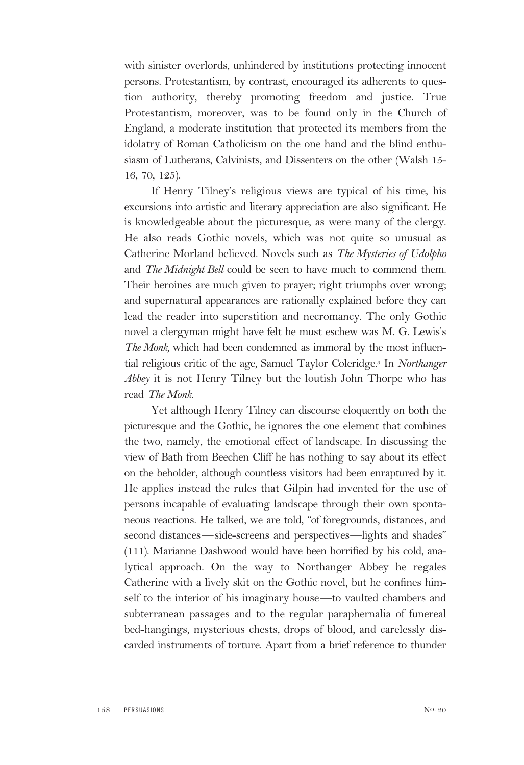with sinister overlords, unhindered by institutions protecting innocent persons. Protestantism, by contrast, encouraged its adherents to question authority, thereby promoting freedom and justice. True Protestantism, moreover, was to be found only in the Church of England, a moderate institution that protected its members from the idolatry of Roman Catholicism on the one hand and the blind enthusiasm of Lutherans, Calvinists, and Dissenters on the other (Walsh 15- 16, 70, 125).

If Henry Tilney's religious views are typical of his time, his excursions into artistic and literary appreciation are also significant. He is knowledgeable about the picturesque, as were many of the clergy. He also reads Gothic novels, which was not quite so unusual as Catherine Morland believed. Novels such as *The Mysteries of Udolpho* and *The Midnight Bell* could be seen to have much to commend them. Their heroines are much given to prayer; right triumphs over wrong; and supernatural appearances are rationally explained before they can lead the reader into superstition and necromancy. The only Gothic novel a clergyman might have felt he must eschew was M. G. Lewis's *The Monk,* which had been condemned as immoral by the most influential religious critic of the age, Samuel Taylor Coleridge.3 In *Northanger Abbey* it is not Henry Tilney but the loutish John Thorpe who has read *The Monk.*

Yet although Henry Tilney can discourse eloquently on both the picturesque and the Gothic, he ignores the one element that combines the two, namely, the emotional effect of landscape. In discussing the view of Bath from Beechen Cliff he has nothing to say about its effect on the beholder, although countless visitors had been enraptured by it. He applies instead the rules that Gilpin had invented for the use of persons incapable of evaluating landscape through their own spontaneous reactions. He talked, we are told, "of foregrounds, distances, and second distances—side-screens and perspectives—lights and shades" (111). Marianne Dashwood would have been horrified by his cold, analytical approach. On the way to Northanger Abbey he regales Catherine with a lively skit on the Gothic novel, but he confines himself to the interior of his imaginary house—to vaulted chambers and subterranean passages and to the regular paraphernalia of funereal bed-hangings, mysterious chests, drops of blood, and carelessly discarded instruments of torture. Apart from a brief reference to thunder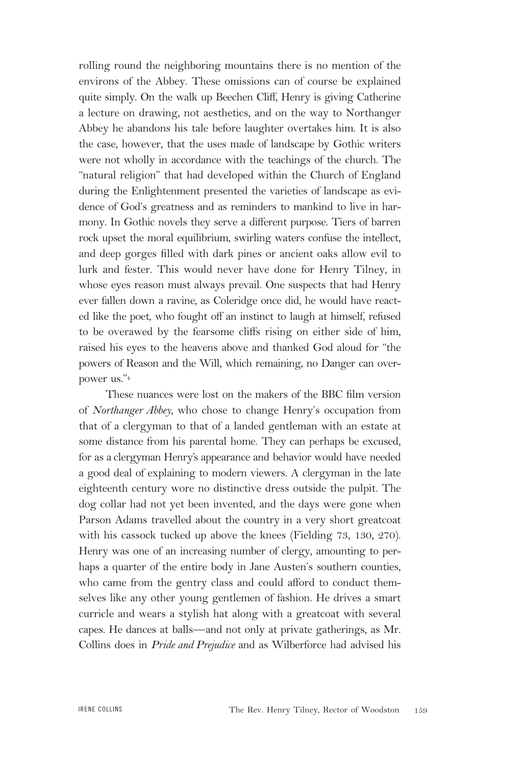rolling round the neighboring mountains there is no mention of the environs of the Abbey. These omissions can of course be explained quite simply. On the walk up Beechen Cliff, Henry is giving Catherine a lecture on drawing, not aesthetics, and on the way to Northanger Abbey he abandons his tale before laughter overtakes him. It is also the case, however, that the uses made of landscape by Gothic writers were not wholly in accordance with the teachings of the church. The "natural religion" that had developed within the Church of England during the Enlightenment presented the varieties of landscape as evidence of God's greatness and as reminders to mankind to live in harmony. In Gothic novels they serve a different purpose. Tiers of barren rock upset the moral equilibrium, swirling waters confuse the intellect, and deep gorges filled with dark pines or ancient oaks allow evil to lurk and fester. This would never have done for Henry Tilney, in whose eyes reason must always prevail. One suspects that had Henry ever fallen down a ravine, as Coleridge once did, he would have reacted like the poet, who fought off an instinct to laugh at himself, refused to be overawed by the fearsome cliffs rising on either side of him, raised his eyes to the heavens above and thanked God aloud for "the powers of Reason and the Will, which remaining, no Danger can overpower us."4

These nuances were lost on the makers of the BBC film version of *Northanger Abbey,* who chose to change Henry's occupation from that of a clergyman to that of a landed gentleman with an estate at some distance from his parental home. They can perhaps be excused, for as a clergyman Henry's appearance and behavior would have needed a good deal of explaining to modern viewers. A clergyman in the late eighteenth century wore no distinctive dress outside the pulpit. The dog collar had not yet been invented, and the days were gone when Parson Adams travelled about the country in a very short greatcoat with his cassock tucked up above the knees (Fielding 73, 130, 270). Henry was one of an increasing number of clergy, amounting to perhaps a quarter of the entire body in Jane Austen's southern counties, who came from the gentry class and could afford to conduct themselves like any other young gentlemen of fashion. He drives a smart curricle and wears a stylish hat along with a greatcoat with several capes. He dances at balls—and not only at private gatherings, as Mr. Collins does in *Pride and Prejudice* and as Wilberforce had advised his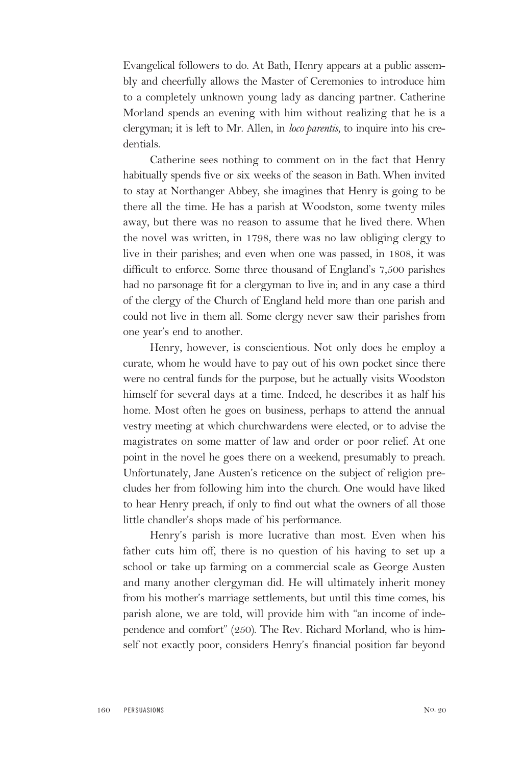Evangelical followers to do. At Bath, Henry appears at a public assembly and cheerfully allows the Master of Ceremonies to introduce him to a completely unknown young lady as dancing partner. Catherine Morland spends an evening with him without realizing that he is a clergyman; it is left to Mr. Allen, in *loco parentis,* to inquire into his credentials.

Catherine sees nothing to comment on in the fact that Henry habitually spends five or six weeks of the season in Bath. When invited to stay at Northanger Abbey, she imagines that Henry is going to be there all the time. He has a parish at Woodston, some twenty miles away, but there was no reason to assume that he lived there. When the novel was written, in 1798, there was no law obliging clergy to live in their parishes; and even when one was passed, in 1808, it was difficult to enforce. Some three thousand of England's 7,500 parishes had no parsonage fit for a clergyman to live in; and in any case a third of the clergy of the Church of England held more than one parish and could not live in them all. Some clergy never saw their parishes from one year's end to another.

Henry, however, is conscientious. Not only does he employ a curate, whom he would have to pay out of his own pocket since there were no central funds for the purpose, but he actually visits Woodston himself for several days at a time. Indeed, he describes it as half his home. Most often he goes on business, perhaps to attend the annual vestry meeting at which churchwardens were elected, or to advise the magistrates on some matter of law and order or poor relief. At one point in the novel he goes there on a weekend, presumably to preach. Unfortunately, Jane Austen's reticence on the subject of religion precludes her from following him into the church. One would have liked to hear Henry preach, if only to find out what the owners of all those little chandler's shops made of his performance.

Henry's parish is more lucrative than most. Even when his father cuts him off, there is no question of his having to set up a school or take up farming on a commercial scale as George Austen and many another clergyman did. He will ultimately inherit money from his mother's marriage settlements, but until this time comes, his parish alone, we are told, will provide him with "an income of independence and comfort" (250). The Rev. Richard Morland, who is himself not exactly poor, considers Henry's financial position far beyond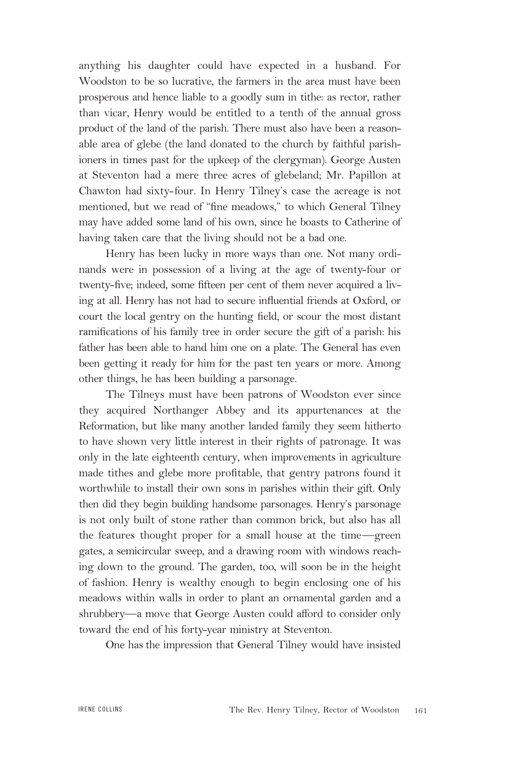anything his daughter could have expected in a husband. For Woodston to be so lucrative, the farmers in the area must have been prosperous and hence liable to a goodly sum in tithe: as rector, rather than vicar, Henry would be entitled to a tenth of the annual gross product of the land of the parish. There must also have been a reasonable area of glebe (the land donated to the church by faithful parishioners in times past for the upkeep of the clergyman). George Austen at Steventon had a mere three acres of glebeland; Mr. Papillon at Chawton had sixty-four. In Henry Tilney's case the acreage is not mentioned, but we read of "fine meadows," to which General Tilney may have added some land of his own, since he boasts to Catherine of having taken care that the living should not be a bad one.

Henry has been lucky in more ways than one. Not many ordinands were in possession of a living at the age of twenty-four or twenty-five; indeed, some fifteen per cent of them never acquired a living at all. Henry has not had to secure influential friends at Oxford, or court the local gentry on the hunting field, or scour the most distant ramifications of his family tree in order secure the gift of a parish: his father has been able to hand him one on a plate. The General has even been getting it ready for him for the past ten years or more. Among other things, he has been building a parsonage.

The Tilneys must have been patrons of Woodston ever since they acquired Northanger Abbey and its appurtenances at the Reformation, but like many another landed family they seem hitherto to have shown very little interest in their rights of patronage. It was only in the late eighteenth century, when improvements in agriculture made tithes and glebe more profitable, that gentry patrons found it worthwhile to install their own sons in parishes within their gift. Only then did they begin building handsome parsonages. Henry's parsonage is not only built of stone rather than common brick, but also has all the features thought proper for a small house at the time—green gates, a semicircular sweep, and a drawing room with windows reaching down to the ground. The garden, too, will soon be in the height of fashion. Henry is wealthy enough to begin enclosing one of his meadows within walls in order to plant an ornamental garden and a shrubbery—a move that George Austen could afford to consider only toward the end of his forty-year ministry at Steventon.

One has the impression that General Tilney would have insisted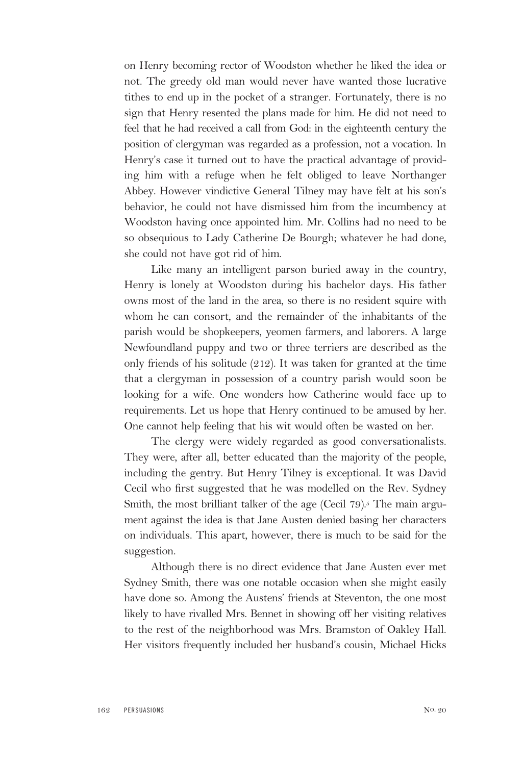on Henry becoming rector of Woodston whether he liked the idea or not. The greedy old man would never have wanted those lucrative tithes to end up in the pocket of a stranger. Fortunately, there is no sign that Henry resented the plans made for him. He did not need to feel that he had received a call from God: in the eighteenth century the position of clergyman was regarded as a profession, not a vocation. In Henry's case it turned out to have the practical advantage of providing him with a refuge when he felt obliged to leave Northanger Abbey. However vindictive General Tilney may have felt at his son's behavior, he could not have dismissed him from the incumbency at Woodston having once appointed him. Mr. Collins had no need to be so obsequious to Lady Catherine De Bourgh; whatever he had done, she could not have got rid of him.

Like many an intelligent parson buried away in the country, Henry is lonely at Woodston during his bachelor days. His father owns most of the land in the area, so there is no resident squire with whom he can consort, and the remainder of the inhabitants of the parish would be shopkeepers, yeomen farmers, and laborers. A large Newfoundland puppy and two or three terriers are described as the only friends of his solitude (212). It was taken for granted at the time that a clergyman in possession of a country parish would soon be looking for a wife. One wonders how Catherine would face up to requirements. Let us hope that Henry continued to be amused by her. One cannot help feeling that his wit would often be wasted on her.

The clergy were widely regarded as good conversationalists. They were, after all, better educated than the majority of the people, including the gentry. But Henry Tilney is exceptional. It was David Cecil who first suggested that he was modelled on the Rev. Sydney Smith, the most brilliant talker of the age (Cecil 79).<sup>5</sup> The main argument against the idea is that Jane Austen denied basing her characters on individuals. This apart, however, there is much to be said for the suggestion.

Although there is no direct evidence that Jane Austen ever met Sydney Smith, there was one notable occasion when she might easily have done so. Among the Austens' friends at Steventon, the one most likely to have rivalled Mrs. Bennet in showing off her visiting relatives to the rest of the neighborhood was Mrs. Bramston of Oakley Hall. Her visitors frequently included her husband's cousin, Michael Hicks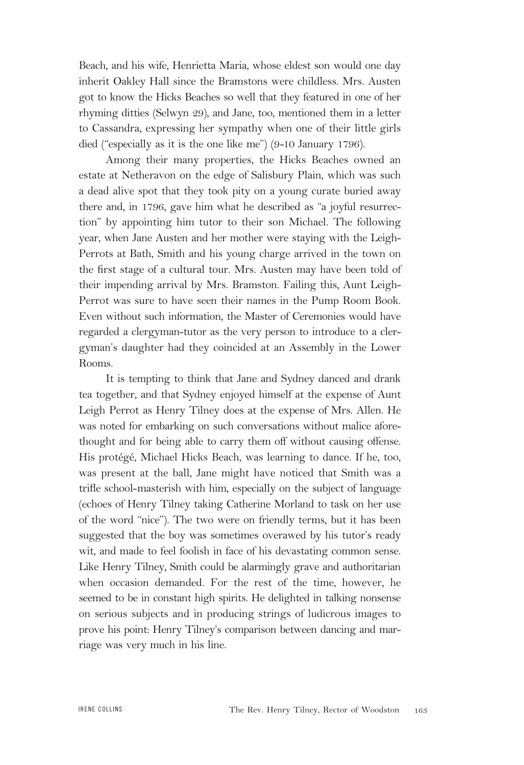Beach, and his wife, Henrietta Maria, whose eldest son would one day inherit Oakley Hall since the Bramstons were childless. Mrs. Austen got to know the Hicks Beaches so well that they featured in one of her rhyming ditties (Selwyn 29), and Jane, too, mentioned them in a letter to Cassandra, expressing her sympathy when one of their little girls died ("especially as it is the one like me") (9-10 January 1796).

Among their many properties, the Hicks Beaches owned an estate at Netheravon on the edge of Salisbury Plain, which was such a dead alive spot that they took pity on a young curate buried away there and, in 1796, gave him what he described as "a joyful resurrection" by appointing him tutor to their son Michael. The following year, when Jane Austen and her mother were staying with the Leigh-Perrots at Bath, Smith and his young charge arrived in the town on the first stage of a cultural tour. Mrs. Austen may have been told of their impending arrival by Mrs. Bramston. Failing this, Aunt Leigh-Perrot was sure to have seen their names in the Pump Room Book. Even without such information, the Master of Ceremonies would have regarded a clergyman-tutor as the very person to introduce to a clergyman's daughter had they coincided at an Assembly in the Lower Rooms.

It is tempting to think that Jane and Sydney danced and drank tea together, and that Sydney enjoyed himself at the expense of Aunt Leigh Perrot as Henry Tilney does at the expense of Mrs. Allen. He was noted for embarking on such conversations without malice aforethought and for being able to carry them off without causing offense. His protégé, Michael Hicks Beach, was learning to dance. If he, too, was present at the ball, Jane might have noticed that Smith was a trifle school-masterish with him, especially on the subject of language (echoes of Henry Tilney taking Catherine Morland to task on her use of the word "nice"). The two were on friendly terms, but it has been suggested that the boy was sometimes overawed by his tutor's ready wit, and made to feel foolish in face of his devastating common sense. Like Henry Tilney, Smith could be alarmingly grave and authoritarian when occasion demanded. For the rest of the time, however, he seemed to be in constant high spirits. He delighted in talking nonsense on serious subjects and in producing strings of ludicrous images to prove his point: Henry Tilney's comparison between dancing and marriage was very much in his line.